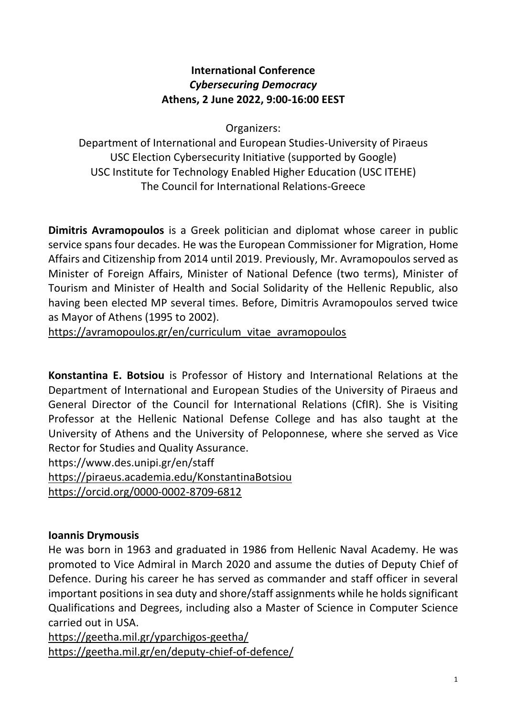### **International Conference** *Cybersecuring Democracy* **Athens, 2 June 2022, 9:00-16:00 EEST**

Organizers:

Department of International and European Studies-University of Piraeus USC Election Cybersecurity Initiative (supported by Google) USC Institute for Technology Enabled Higher Education (USC ITEHE) The Council for International Relations-Greece

**Dimitris Avramopoulos** is a Greek politician and diplomat whose career in public service spans four decades. He was the European Commissioner for Migration, Home Affairs and Citizenship from 2014 until 2019. Previously, Mr. Avramopoulos served as Minister of Foreign Affairs, Minister of National Defence (two terms), Minister of Tourism and Minister of Health and Social Solidarity of the Hellenic Republic, also having been elected MP several times. Before, Dimitris Avramopoulos served twice as Mayor of Athens (1995 to 2002).

[https://avramopoulos.gr/en/curriculum\\_vitae\\_avramopoulos](https://avramopoulos.gr/en/curriculum_vitae_avramopoulos)

**Konstantina E. Botsiou** is Professor of History and International Relations at the Department of International and European Studies of the University of Piraeus and General Director of the Council for International Relations (CfIR). She is Visiting Professor at the Hellenic National Defense College and has also taught at the University of Athens and the University of Peloponnese, where she served as Vice Rector for Studies and Quality Assurance.

https://www.des.unipi.gr/en/staff

<https://piraeus.academia.edu/KonstantinaBotsiou>

<https://orcid.org/0000-0002-8709-6812>

# **Ioannis Drymousis**

He was born in 1963 and graduated in 1986 from Hellenic Naval Academy. He was promoted to Vice Admiral in March 2020 and assume the duties of Deputy Chief of Defence. During his career he has served as commander and staff officer in several important positions in sea duty and shore/staff assignments while he holds significant Qualifications and Degrees, including also a Master of Science in Computer Science carried out in USA.

<https://geetha.mil.gr/yparchigos-geetha/> <https://geetha.mil.gr/en/deputy-chief-of-defence/>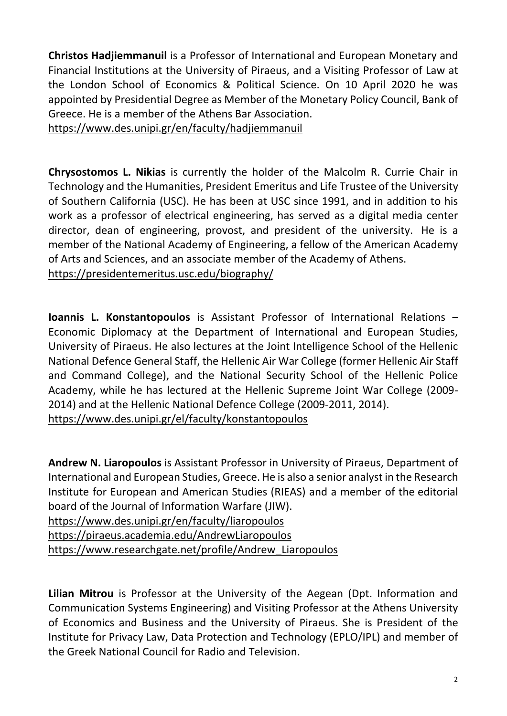**Christos Hadjiemmanuil** is a Professor of International and European Monetary and Financial Institutions at the University of Piraeus, and a Visiting Professor of Law at the London School of Economics & Political Science. On 10 April 2020 he was appointed by Presidential Degree as Member of the Monetary Policy Council, Bank of Greece. He is a member of the Athens Bar Association.

<https://www.des.unipi.gr/en/faculty/hadjiemmanuil>

**Chrysostomos L. Nikias** is currently the holder of the Malcolm R. Currie Chair in Technology and the Humanities, President Emeritus and Life Trustee of the University of Southern California (USC). He has been at USC since 1991, and in addition to his work as a professor of electrical engineering, has served as a digital media center director, dean of engineering, provost, and president of the university. He is a member of the National Academy of Engineering, a fellow of the American Academy of Arts and Sciences, and an associate member of the Academy of Athens. <https://presidentemeritus.usc.edu/biography/>

**Ioannis L. Konstantopoulos** is Assistant Professor of International Relations – Economic Diplomacy at the Department of International and European Studies, University of Piraeus. He also lectures at the Joint Intelligence School of the Hellenic National Defence General Staff, the Hellenic Air War College (former Hellenic Air Staff and Command College), and the National Security School of the Hellenic Police Academy, while he has lectured at the Hellenic Supreme Joint War College (2009- 2014) and at the Hellenic National Defence College (2009-2011, 2014). <https://www.des.unipi.gr/el/faculty/konstantopoulos>

**Andrew N. Liaropoulos** is Assistant Professor in University of Piraeus, Department of International and European Studies, Greece. He is also a senior analyst in the Research Institute for European and American Studies (RIEAS) and a member of the editorial board of the Journal of Information Warfare (JIW).

<https://www.des.unipi.gr/en/faculty/liaropoulos>

<https://piraeus.academia.edu/AndrewLiaropoulos>

[https://www.researchgate.net/profile/Andrew\\_Liaropoulos](https://www.researchgate.net/profile/Andrew_Liaropoulos)

**Lilian Mitrou** is Professor at the University of the Aegean (Dpt. Information and Communication Systems Engineering) and Visiting Professor at the Athens University of Economics and Business and the University of Piraeus. She is President of the Institute for Privacy Law, Data Protection and Technology (EPLO/IPL) and member of the Greek National Council for Radio and Television.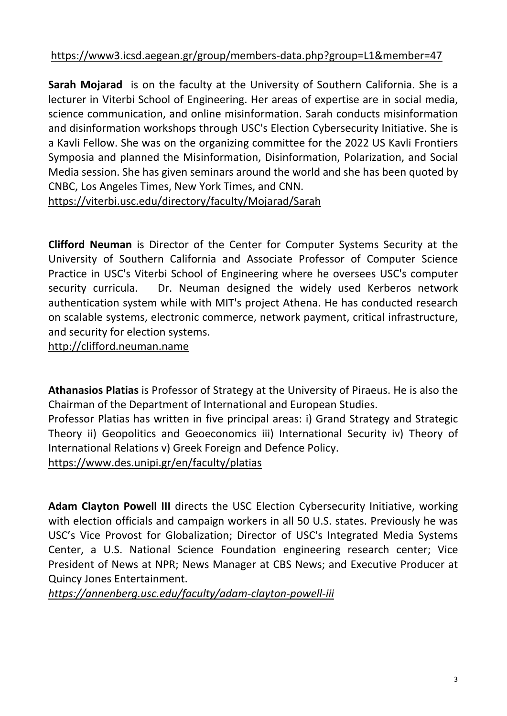# <https://www3.icsd.aegean.gr/group/members-data.php?group=L1&member=47>

**Sarah Mojarad** is on the faculty at the University of Southern California. She is a lecturer in Viterbi School of Engineering. Her areas of expertise are in social media, science communication, and online misinformation. Sarah conducts misinformation and disinformation workshops through USC's Election Cybersecurity Initiative. She is a Kavli Fellow. She was on the organizing committee for the 2022 US Kavli Frontiers Symposia and planned the Misinformation, Disinformation, Polarization, and Social Media session. She has given seminars around the world and she has been quoted by CNBC, Los Angeles Times, New York Times, and CNN.

https://viterbi.usc.edu/directory/faculty/Mojarad/Sarah

**Clifford Neuman** is Director of the Center for Computer Systems Security at the University of Southern California and Associate Professor of Computer Science Practice in USC's Viterbi School of Engineering where he oversees USC's computer security curricula. Dr. Neuman designed the widely used Kerberos network authentication system while with MIT's project Athena. He has conducted research on scalable systems, electronic commerce, network payment, critical infrastructure, and security for election systems.

[http://clifford.neuman.name](http://clifford.neuman.name/)

**Athanasios Platias** is Professor of Strategy at the University of Piraeus. He is also the Chairman of the Department of International and European Studies.

Professor Platias has written in five principal areas: i) Grand Strategy and Strategic Theory ii) Geopolitics and Geoeconomics iii) International Security iv) Theory of International Relations v) Greek Foreign and Defence Policy.

<https://www.des.unipi.gr/en/faculty/platias>

**Adam Clayton Powell III** directs the USC Election Cybersecurity Initiative, working with election officials and campaign workers in all 50 U.S. states. Previously he was USC's Vice Provost for Globalization; Director of USC's Integrated Media Systems Center, a U.S. National Science Foundation engineering research center; Vice President of News at NPR; News Manager at CBS News; and Executive Producer at Quincy Jones Entertainment.

*<https://annenberg.usc.edu/faculty/adam-clayton-powell-iii>*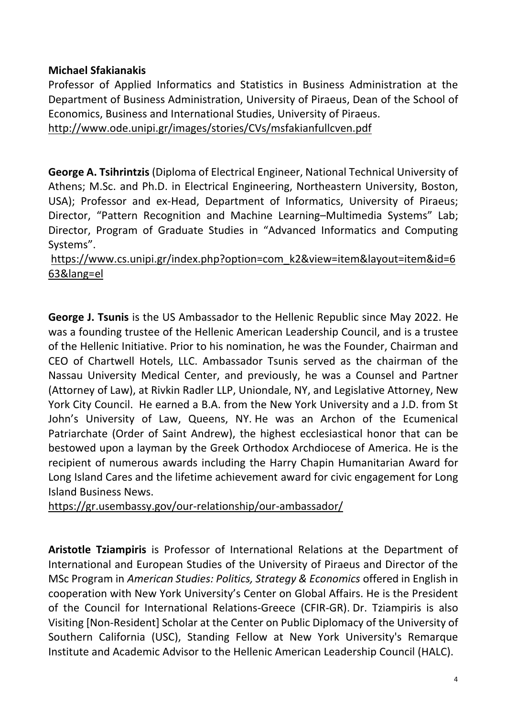#### **Michael Sfakianakis**

Professor of Applied Informatics and Statistics in Business Administration at the Department of Business Administration, University of Piraeus, Dean of the School of Economics, Business and International Studies, University of Piraeus. <http://www.ode.unipi.gr/images/stories/CVs/msfakianfullcven.pdf>

**George A. Tsihrintzis** (Diploma of Electrical Engineer, National Technical University of Athens; M.Sc. and Ph.D. in Electrical Engineering, Northeastern University, Boston, USA); Professor and ex-Head, Department of Informatics, University of Piraeus; Director, "Pattern Recognition and Machine Learning–Multimedia Systems" Lab; Director, Program of Graduate Studies in "Advanced Informatics and Computing Systems".

[https://www.cs.unipi.gr/index.php?option=com\\_k2&view=item&layout=item&id=6](https://www.cs.unipi.gr/index.php?option=com_k2&view=item&layout=item&id=663&lang=el) [63&lang=el](https://www.cs.unipi.gr/index.php?option=com_k2&view=item&layout=item&id=663&lang=el)

**George J. Tsunis** is the US Ambassador to the Hellenic Republic since May 2022. He was a founding trustee of the Hellenic American Leadership Council, and is a trustee of the Hellenic Initiative. Prior to his nomination, he was the Founder, Chairman and CEO of Chartwell Hotels, LLC. Ambassador Tsunis served as the chairman of the Nassau University Medical Center, and previously, he was a Counsel and Partner (Attorney of Law), at Rivkin Radler LLP, Uniondale, NY, and Legislative Attorney, New York City Council. He earned a B.A. from the New York University and a J.D. from St John's University of Law, Queens, NY. He was an Archon of the Ecumenical Patriarchate (Order of Saint Andrew), the highest ecclesiastical honor that can be bestowed upon a layman by the Greek Orthodox Archdiocese of America. He is the recipient of numerous awards including the Harry Chapin Humanitarian Award for Long Island Cares and the lifetime achievement award for civic engagement for Long Island Business News.

<https://gr.usembassy.gov/our-relationship/our-ambassador/>

**Aristotle Tziampiris** is Professor of International Relations at the Department of International and European Studies of the University of Piraeus and Director of the MSc Program in *American Studies: Politics, Strategy & Economics* offered in English in cooperation with New York University's Center on Global Affairs. He is the President of the Council for International Relations-Greece (CFIR-GR). Dr. Tziampiris is also Visiting [Non-Resident] Scholar at the Center on Public Diplomacy of the University of Southern California (USC), Standing Fellow at New York University's Remarque Institute and Academic Advisor to the Hellenic American Leadership Council (HALC).